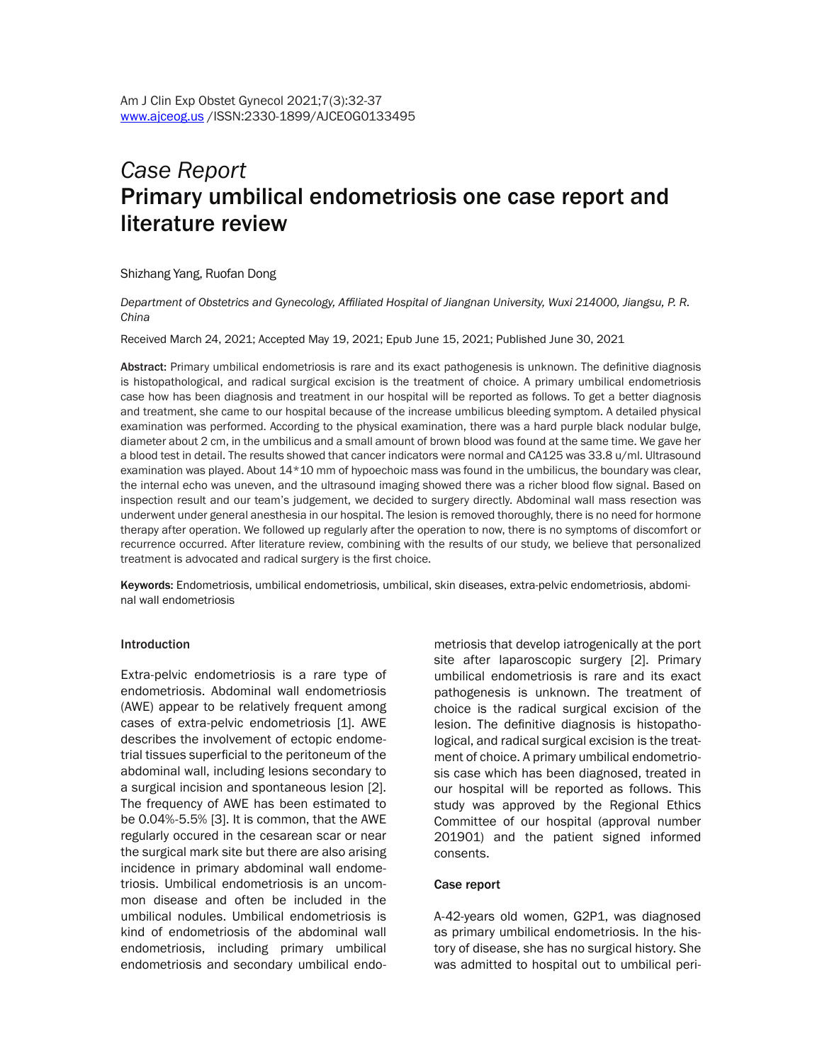# *Case Report* Primary umbilical endometriosis one case report and literature review

## Shizhang Yang, Ruofan Dong

*Department of Obstetrics and Gynecology, Affiliated Hospital of Jiangnan University, Wuxi 214000, Jiangsu, P. R. China*

Received March 24, 2021; Accepted May 19, 2021; Epub June 15, 2021; Published June 30, 2021

Abstract: Primary umbilical endometriosis is rare and its exact pathogenesis is unknown. The definitive diagnosis is histopathological, and radical surgical excision is the treatment of choice. A primary umbilical endometriosis case how has been diagnosis and treatment in our hospital will be reported as follows. To get a better diagnosis and treatment, she came to our hospital because of the increase umbilicus bleeding symptom. A detailed physical examination was performed. According to the physical examination, there was a hard purple black nodular bulge, diameter about 2 cm, in the umbilicus and a small amount of brown blood was found at the same time. We gave her a blood test in detail. The results showed that cancer indicators were normal and CA125 was 33.8 u/ml. Ultrasound examination was played. About 14\*10 mm of hypoechoic mass was found in the umbilicus, the boundary was clear, the internal echo was uneven, and the ultrasound imaging showed there was a richer blood flow signal. Based on inspection result and our team's judgement, we decided to surgery directly. Abdominal wall mass resection was underwent under general anesthesia in our hospital. The lesion is removed thoroughly, there is no need for hormone therapy after operation. We followed up regularly after the operation to now, there is no symptoms of discomfort or recurrence occurred. After literature review, combining with the results of our study, we believe that personalized treatment is advocated and radical surgery is the first choice.

Keywords: Endometriosis, umbilical endometriosis, umbilical, skin diseases, extra-pelvic endometriosis, abdominal wall endometriosis

#### Introduction

Extra-pelvic endometriosis is a rare type of endometriosis. Abdominal wall endometriosis (AWE) appear to be relatively frequent among cases of extra-pelvic endometriosis [1]. AWE describes the involvement of ectopic endometrial tissues superficial to the peritoneum of the abdominal wall, including lesions secondary to a surgical incision and spontaneous lesion [2]. The frequency of AWE has been estimated to be 0.04%-5.5% [3]. It is common, that the AWE regularly occured in the cesarean scar or near the surgical mark site but there are also arising incidence in primary abdominal wall endometriosis. Umbilical endometriosis is an uncommon disease and often be included in the umbilical nodules. Umbilical endometriosis is kind of endometriosis of the abdominal wall endometriosis, including primary umbilical endometriosis and secondary umbilical endometriosis that develop iatrogenically at the port site after laparoscopic surgery [2]. Primary umbilical endometriosis is rare and its exact pathogenesis is unknown. The treatment of choice is the radical surgical excision of the lesion. The definitive diagnosis is histopathological, and radical surgical excision is the treatment of choice. A primary umbilical endometriosis case which has been diagnosed, treated in our hospital will be reported as follows. This study was approved by the Regional Ethics Committee of our hospital (approval number 201901) and the patient signed informed consents.

## Case report

A-42-years old women, G2P1, was diagnosed as primary umbilical endometriosis. In the history of disease, she has no surgical history. She was admitted to hospital out to umbilical peri-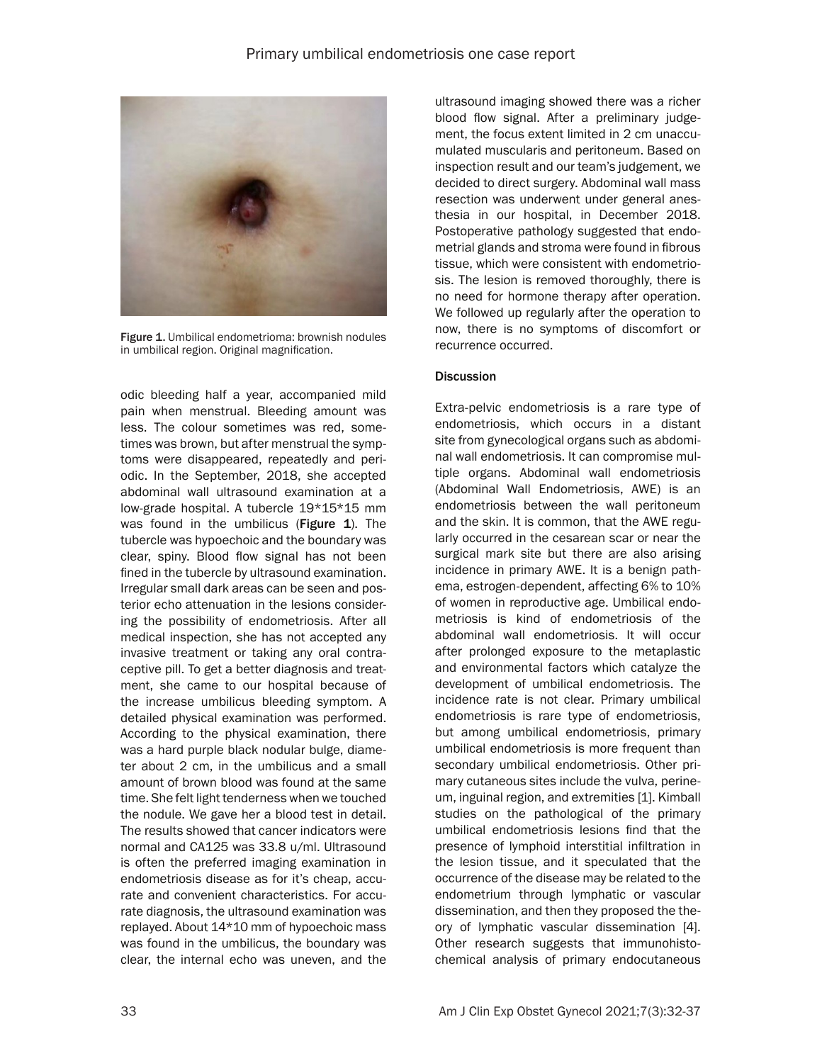

Figure 1. Umbilical endometrioma: brownish nodules in umbilical region. Original magnification.

odic bleeding half a year, accompanied mild pain when menstrual. Bleeding amount was less. The colour sometimes was red, sometimes was brown, but after menstrual the symptoms were disappeared, repeatedly and periodic. In the September, 2018, she accepted abdominal wall ultrasound examination at a low-grade hospital. A tubercle 19\*15\*15 mm was found in the umbilicus (Figure  $1$ ). The tubercle was hypoechoic and the boundary was clear, spiny. Blood flow signal has not been fined in the tubercle by ultrasound examination. Irregular small dark areas can be seen and posterior echo attenuation in the lesions considering the possibility of endometriosis. After all medical inspection, she has not accepted any invasive treatment or taking any oral contraceptive pill. To get a better diagnosis and treatment, she came to our hospital because of the increase umbilicus bleeding symptom. A detailed physical examination was performed. According to the physical examination, there was a hard purple black nodular bulge, diameter about 2 cm, in the umbilicus and a small amount of brown blood was found at the same time. She felt light tenderness when we touched the nodule. We gave her a blood test in detail. The results showed that cancer indicators were normal and CA125 was 33.8 u/ml. Ultrasound is often the preferred imaging examination in endometriosis disease as for it's cheap, accurate and convenient characteristics. For accurate diagnosis, the ultrasound examination was replayed. About 14\*10 mm of hypoechoic mass was found in the umbilicus, the boundary was clear, the internal echo was uneven, and the

ultrasound imaging showed there was a richer blood flow signal. After a preliminary judgement, the focus extent limited in 2 cm unaccumulated muscularis and peritoneum. Based on inspection result and our team's judgement, we decided to direct surgery. Abdominal wall mass resection was underwent under general anesthesia in our hospital, in December 2018. Postoperative pathology suggested that endometrial glands and stroma were found in fibrous tissue, which were consistent with endometriosis. The lesion is removed thoroughly, there is no need for hormone therapy after operation. We followed up regularly after the operation to now, there is no symptoms of discomfort or recurrence occurred.

## **Discussion**

Extra-pelvic endometriosis is a rare type of endometriosis, which occurs in a distant site from gynecological organs such as abdominal wall endometriosis. It can compromise multiple organs. Abdominal wall endometriosis (Abdominal Wall Endometriosis, AWE) is an endometriosis between the wall peritoneum and the skin. It is common, that the AWE regularly occurred in the cesarean scar or near the surgical mark site but there are also arising incidence in primary AWE. It is a benign pathema, estrogen-dependent, affecting 6% to 10% of women in reproductive age. Umbilical endometriosis is kind of endometriosis of the abdominal wall endometriosis. It will occur after prolonged exposure to the metaplastic and environmental factors which catalyze the development of umbilical endometriosis. The incidence rate is not clear. Primary umbilical endometriosis is rare type of endometriosis, but among umbilical endometriosis, primary umbilical endometriosis is more frequent than secondary umbilical endometriosis. Other primary cutaneous sites include the vulva, perineum, inguinal region, and extremities [1]. Kimball studies on the pathological of the primary umbilical endometriosis lesions find that the presence of lymphoid interstitial infiltration in the lesion tissue, and it speculated that the occurrence of the disease may be related to the endometrium through lymphatic or vascular dissemination, and then they proposed the theory of lymphatic vascular dissemination [4]. Other research suggests that immunohistochemical analysis of primary endocutaneous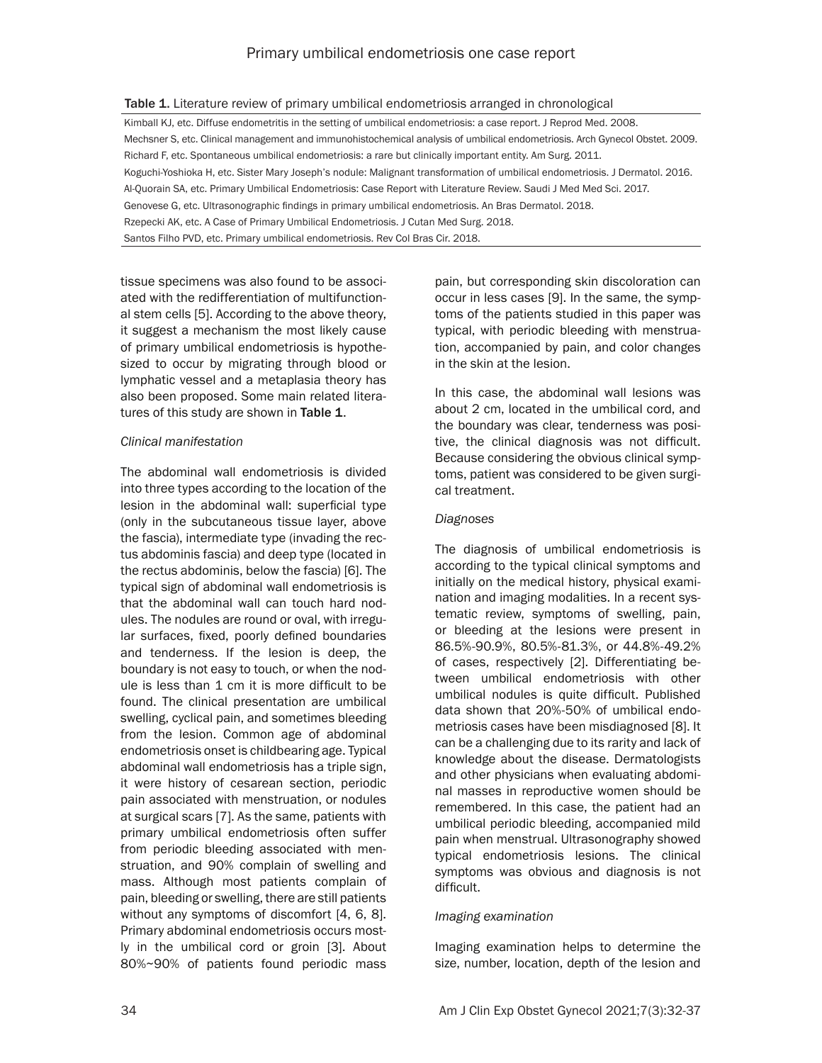|  | Table 1. Literature review of primary umbilical endometriosis arranged in chronological |  |
|--|-----------------------------------------------------------------------------------------|--|
|--|-----------------------------------------------------------------------------------------|--|

Kimball KJ, etc. Diffuse endometritis in the setting of umbilical endometriosis: a case report. J Reprod Med. 2008. Mechsner S, etc. Clinical management and immunohistochemical analysis of umbilical endometriosis. Arch Gynecol Obstet. 2009. Richard F, etc. Spontaneous umbilical endometriosis: a rare but clinically important entity. Am Surg. 2011. Koguchi-Yoshioka H, etc. Sister Mary Joseph's nodule: Malignant transformation of umbilical endometriosis. J Dermatol. 2016. Al-Quorain SA, etc. Primary Umbilical Endometriosis: Case Report with Literature Review. Saudi J Med Med Sci. 2017. Genovese G, etc. Ultrasonographic findings in primary umbilical endometriosis. An Bras Dermatol. 2018. Rzepecki AK, etc. A Case of Primary Umbilical Endometriosis. J Cutan Med Surg. 2018. Santos Filho PVD, etc. Primary umbilical endometriosis. Rev Col Bras Cir. 2018.

tissue specimens was also found to be associated with the redifferentiation of multifunctional stem cells [5]. According to the above theory, it suggest a mechanism the most likely cause of primary umbilical endometriosis is hypothesized to occur by migrating through blood or lymphatic vessel and a metaplasia theory has also been proposed. Some main related literatures of this study are shown in Table 1.

## *Clinical manifestation*

The abdominal wall endometriosis is divided into three types according to the location of the lesion in the abdominal wall: superficial type (only in the subcutaneous tissue layer, above the fascia), intermediate type (invading the rectus abdominis fascia) and deep type (located in the rectus abdominis, below the fascia) [6]. The typical sign of abdominal wall endometriosis is that the abdominal wall can touch hard nodules. The nodules are round or oval, with irregular surfaces, fixed, poorly defined boundaries and tenderness. If the lesion is deep, the boundary is not easy to touch, or when the nodule is less than 1 cm it is more difficult to be found. The clinical presentation are umbilical swelling, cyclical pain, and sometimes bleeding from the lesion. Common age of abdominal endometriosis onset is childbearing age. Typical abdominal wall endometriosis has a triple sign, it were history of cesarean section, periodic pain associated with menstruation, or nodules at surgical scars [7]. As the same, patients with primary umbilical endometriosis often suffer from periodic bleeding associated with menstruation, and 90% complain of swelling and mass. Although most patients complain of pain, bleeding or swelling, there are still patients without any symptoms of discomfort [4, 6, 8]. Primary abdominal endometriosis occurs mostly in the umbilical cord or groin [3]. About 80%~90% of patients found periodic mass pain, but corresponding skin discoloration can occur in less cases [9]. In the same, the symptoms of the patients studied in this paper was typical, with periodic bleeding with menstruation, accompanied by pain, and color changes in the skin at the lesion.

In this case, the abdominal wall lesions was about 2 cm, located in the umbilical cord, and the boundary was clear, tenderness was positive, the clinical diagnosis was not difficult. Because considering the obvious clinical symptoms, patient was considered to be given surgical treatment.

# *Diagnoses*

The diagnosis of umbilical endometriosis is according to the typical clinical symptoms and initially on the medical history, physical examination and imaging modalities. In a recent systematic review, symptoms of swelling, pain, or bleeding at the lesions were present in 86.5%-90.9%, 80.5%-81.3%, or 44.8%-49.2% of cases, respectively [2]. Differentiating between umbilical endometriosis with other umbilical nodules is quite difficult. Published data shown that 20%-50% of umbilical endometriosis cases have been misdiagnosed [8]. It can be a challenging due to its rarity and lack of knowledge about the disease. Dermatologists and other physicians when evaluating abdominal masses in reproductive women should be remembered. In this case, the patient had an umbilical periodic bleeding, accompanied mild pain when menstrual. Ultrasonography showed typical endometriosis lesions. The clinical symptoms was obvious and diagnosis is not difficult.

## *Imaging examination*

Imaging examination helps to determine the size, number, location, depth of the lesion and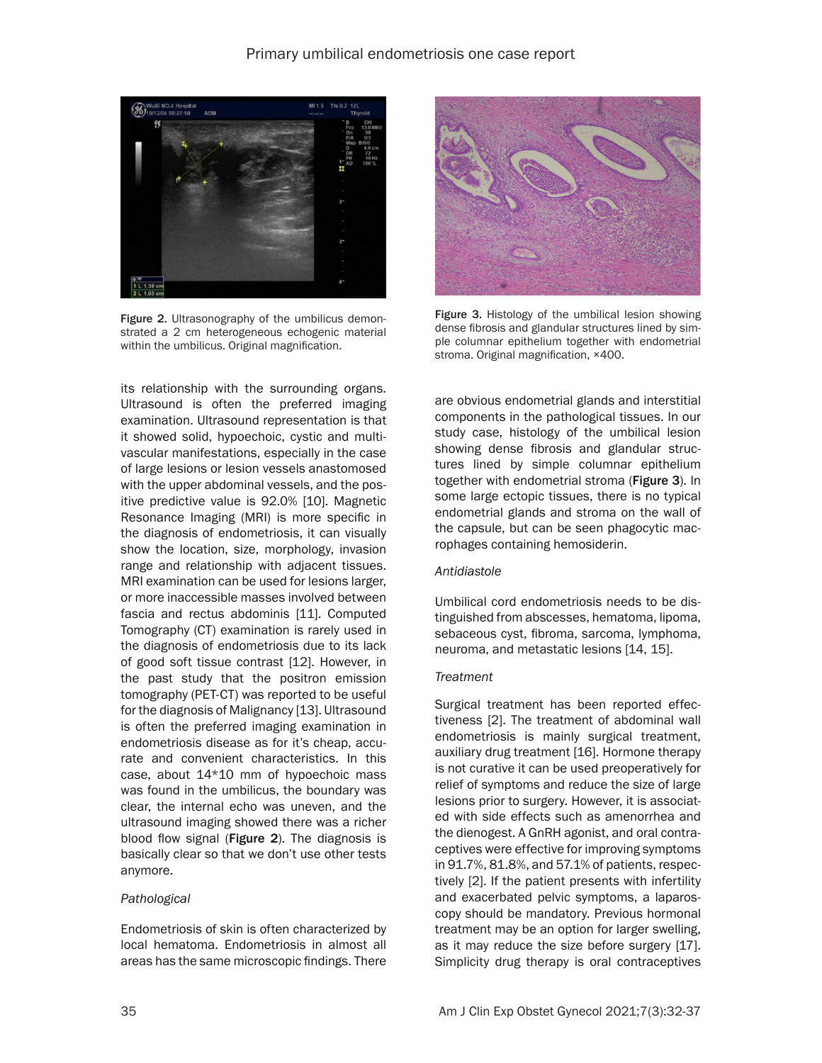

Figure 2. Ultrasonography of the umbilicus demonstrated a 2 cm heterogeneous echogenic material within the umbilicus. Original magnification.

its relationship with the surrounding organs. Ultrasound is often the preferred imaging examination. Ultrasound representation is that it showed solid, hypoechoic, cystic and multivascular manifestations, especially in the case of large lesions or lesion vessels anastomosed with the upper abdominal vessels, and the positive predictive value is 92.0% [10]. Magnetic Resonance Imaging (MRI) is more specific in the diagnosis of endometriosis, it can visually show the location, size, morphology, invasion range and relationship with adjacent tissues. MRI examination can be used for lesions larger, or more inaccessible masses involved between fascia and rectus abdominis [11]. Computed Tomography (CT) examination is rarely used in the diagnosis of endometriosis due to its lack of good soft tissue contrast [12]. However, in the past study that the positron emission tomography (PET-CT) was reported to be useful for the diagnosis of Malignancy [13]. Ultrasound is often the preferred imaging examination in endometriosis disease as for it's cheap, accurate and convenient characteristics. In this case, about 14\*10 mm of hypoechoic mass was found in the umbilicus, the boundary was clear, the internal echo was uneven, and the ultrasound imaging showed there was a richer blood flow signal (Figure 2). The diagnosis is basically clear so that we don't use other tests anymore.

## *Pathological*

Endometriosis of skin is often characterized by local hematoma. Endometriosis in almost all areas has the same microscopic findings. There



Figure 3. Histology of the umbilical lesion showing dense fibrosis and glandular structures lined by simple columnar epithelium together with endometrial stroma. Original magnification, ×400.

are obvious endometrial glands and interstitial components in the pathological tissues. In our study case, histology of the umbilical lesion showing dense fibrosis and glandular structures lined by simple columnar epithelium together with endometrial stroma (Figure 3). In some large ectopic tissues, there is no typical endometrial glands and stroma on the wall of the capsule, but can be seen phagocytic macrophages containing hemosiderin.

## *Antidiastole*

Umbilical cord endometriosis needs to be distinguished from abscesses, hematoma, lipoma, sebaceous cyst, fibroma, sarcoma, lymphoma, neuroma, and metastatic lesions [14, 15].

#### *Treatment*

Surgical treatment has been reported effectiveness [2]. The treatment of abdominal wall endometriosis is mainly surgical treatment, auxiliary drug treatment [16]. Hormone therapy is not curative it can be used preoperatively for relief of symptoms and reduce the size of large lesions prior to surgery. However, it is associated with side effects such as amenorrhea and the dienogest. A GnRH agonist, and oral contraceptives were effective for improving symptoms in 91.7%, 81.8%, and 57.1% of patients, respectively [2]. If the patient presents with infertility and exacerbated pelvic symptoms, a laparoscopy should be mandatory. Previous hormonal treatment may be an option for larger swelling, as it may reduce the size before surgery [17]. Simplicity drug therapy is oral contraceptives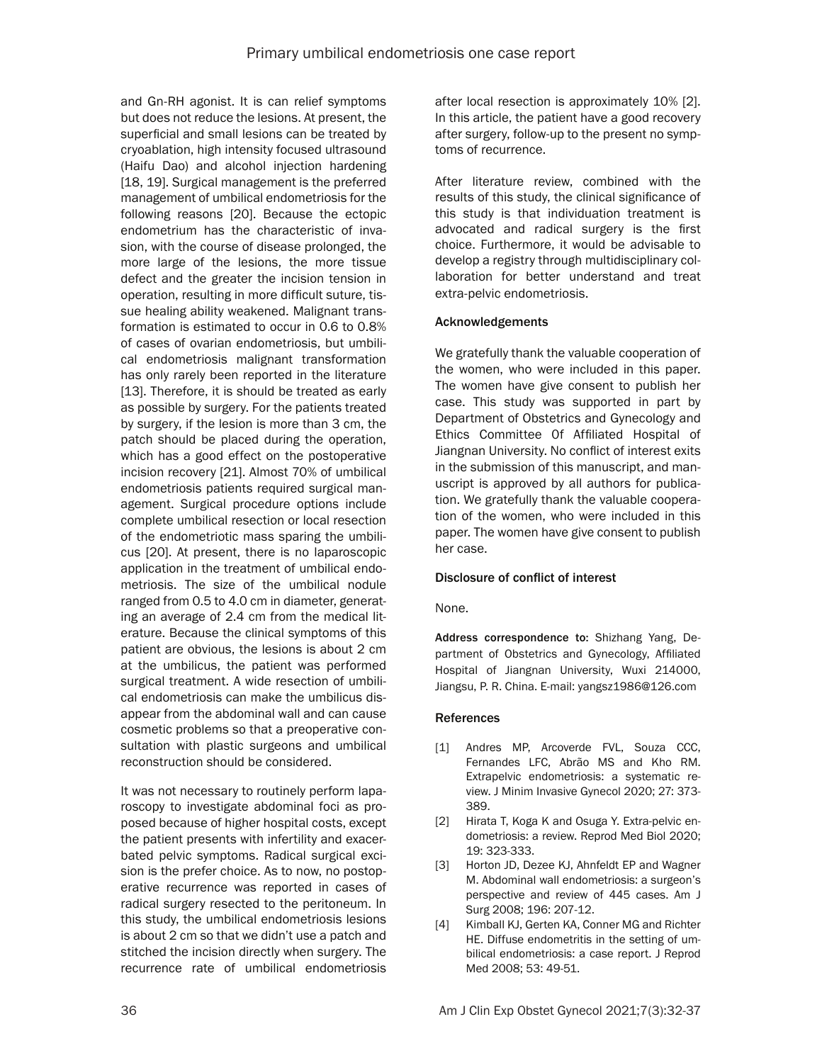and Gn-RH agonist. It is can relief symptoms but does not reduce the lesions. At present, the superficial and small lesions can be treated by cryoablation, high intensity focused ultrasound (Haifu Dao) and alcohol injection hardening [18, 19]. Surgical management is the preferred management of umbilical endometriosis for the following reasons [20]. Because the ectopic endometrium has the characteristic of invasion, with the course of disease prolonged, the more large of the lesions, the more tissue defect and the greater the incision tension in operation, resulting in more difficult suture, tissue healing ability weakened. Malignant transformation is estimated to occur in 0.6 to 0.8% of cases of ovarian endometriosis, but umbilical endometriosis malignant transformation has only rarely been reported in the literature [13]. Therefore, it is should be treated as early as possible by surgery. For the patients treated by surgery, if the lesion is more than 3 cm, the patch should be placed during the operation, which has a good effect on the postoperative incision recovery [21]. Almost 70% of umbilical endometriosis patients required surgical management. Surgical procedure options include complete umbilical resection or local resection of the endometriotic mass sparing the umbilicus [20]. At present, there is no laparoscopic application in the treatment of umbilical endometriosis. The size of the umbilical nodule ranged from 0.5 to 4.0 cm in diameter, generating an average of 2.4 cm from the medical literature. Because the clinical symptoms of this patient are obvious, the lesions is about 2 cm at the umbilicus, the patient was performed surgical treatment. A wide resection of umbilical endometriosis can make the umbilicus disappear from the abdominal wall and can cause cosmetic problems so that a preoperative consultation with plastic surgeons and umbilical reconstruction should be considered.

It was not necessary to routinely perform laparoscopy to investigate abdominal foci as proposed because of higher hospital costs, except the patient presents with infertility and exacerbated pelvic symptoms. Radical surgical excision is the prefer choice. As to now, no postoperative recurrence was reported in cases of radical surgery resected to the peritoneum. In this study, the umbilical endometriosis lesions is about 2 cm so that we didn't use a patch and stitched the incision directly when surgery. The recurrence rate of umbilical endometriosis

after local resection is approximately 10% [2]. In this article, the patient have a good recovery after surgery, follow-up to the present no symptoms of recurrence.

After literature review, combined with the results of this study, the clinical significance of this study is that individuation treatment is advocated and radical surgery is the first choice. Furthermore, it would be advisable to develop a registry through multidisciplinary collaboration for better understand and treat extra-pelvic endometriosis.

## Acknowledgements

We gratefully thank the valuable cooperation of the women, who were included in this paper. The women have give consent to publish her case. This study was supported in part by Department of Obstetrics and Gynecology and Ethics Committee 0f Affiliated Hospital of Jiangnan University. No conflict of interest exits in the submission of this manuscript, and manuscript is approved by all authors for publication. We gratefully thank the valuable cooperation of the women, who were included in this paper. The women have give consent to publish her case.

## Disclosure of conflict of interest

None.

Address correspondence to: Shizhang Yang, Department of Obstetrics and Gynecology, Affiliated Hospital of Jiangnan University, Wuxi 214000, Jiangsu, P. R. China. E-mail: [yangsz1986@126.com](mailto:yangsz1986@126.com)

## **References**

- [1] Andres MP, Arcoverde FVL, Souza CCC, Fernandes LFC, Abrão MS and Kho RM. Extrapelvic endometriosis: a systematic review. J Minim Invasive Gynecol 2020; 27: 373- 389.
- [2] Hirata T, Koga K and Osuga Y. Extra-pelvic endometriosis: a review. Reprod Med Biol 2020; 19: 323-333.
- [3] Horton JD, Dezee KJ, Ahnfeldt EP and Wagner M. Abdominal wall endometriosis: a surgeon's perspective and review of 445 cases. Am J Surg 2008; 196: 207-12.
- [4] Kimball KJ, Gerten KA, Conner MG and Richter HE. Diffuse endometritis in the setting of umbilical endometriosis: a case report. J Reprod Med 2008; 53: 49-51.